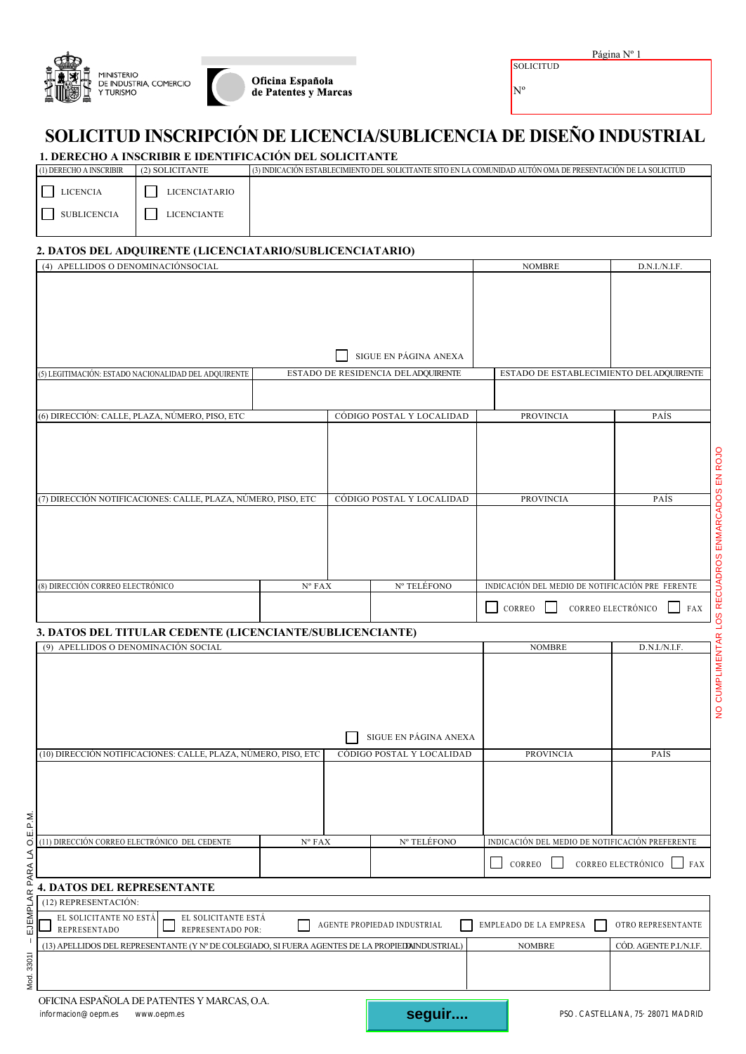| <b>MINISTERIO</b><br>DE INDUSTRIA, COMERCIO<br>TURISMO | Oficina Española<br>de Patentes y Marcas |
|--------------------------------------------------------|------------------------------------------|
|                                                        |                                          |

| Página N |  |
|----------|--|
|          |  |

**SOLICITUD** Nº

## **SOLICITUD INSCRIPCIÓN DE LICENCIA/SUBLICENCIA DE DISEÑO INDUSTRIAL**

| 1. DERECHO A INSCRIBIR E IDENTIFICACIÓN DEL SOLICITANTE |  |
|---------------------------------------------------------|--|
|---------------------------------------------------------|--|

| (1) DERECHO A INSCRIBIR | (2) SOLICITANTE | (3) INDICACIÓN ESTABLECIMIENTO DEL SOLICITANTE SITO EN LA COMUNIDAD AUTÓN OMA DE PRESENTACIÓN DE LA SOLICITUD |
|-------------------------|-----------------|---------------------------------------------------------------------------------------------------------------|
| <b>LICENCIA</b>         | LICENCIATARIO   |                                                                                                               |
| SUBLICENCIA             | LICENCIANTE     |                                                                                                               |

## **2. DATOS DEL ADQUIRENTE (LICENCIATARIO/SUBLICENCIATARIO)**

| (4) APELLIDOS O DENOMINACIÓNSOCIAL                                                                             | <b>NOMBRE</b>                   | D.N.I./N.I.F. |                                    |                                                  |                                  |
|----------------------------------------------------------------------------------------------------------------|---------------------------------|---------------|------------------------------------|--------------------------------------------------|----------------------------------|
|                                                                                                                |                                 |               |                                    |                                                  |                                  |
|                                                                                                                |                                 |               |                                    |                                                  |                                  |
|                                                                                                                |                                 |               |                                    |                                                  |                                  |
|                                                                                                                |                                 |               |                                    |                                                  |                                  |
|                                                                                                                |                                 |               | SIGUE EN PÁGINA ANEXA              |                                                  |                                  |
|                                                                                                                |                                 |               |                                    |                                                  |                                  |
| (5) LEGITIMACIÓN: ESTADO NACIONALIDAD DEL ADQUIRENTE                                                           |                                 |               | ESTADO DE RESIDENCIA DELADQUIRENTE | ESTADO DE ESTABLECIMIENTO DELADQUIRENTE          |                                  |
|                                                                                                                |                                 |               |                                    |                                                  |                                  |
|                                                                                                                |                                 |               |                                    | <b>PROVINCIA</b>                                 | PAÍS                             |
| (6) DIRECCIÓN: CALLE, PLAZA, NÚMERO, PISO, ETC                                                                 |                                 |               | CÓDIGO POSTAL Y LOCALIDAD          |                                                  |                                  |
|                                                                                                                |                                 |               |                                    |                                                  |                                  |
|                                                                                                                |                                 |               |                                    |                                                  |                                  |
|                                                                                                                |                                 |               |                                    |                                                  |                                  |
|                                                                                                                |                                 |               |                                    |                                                  |                                  |
| (7) DIRECCIÓN NOTIFICACIONES: CALLE, PLAZA, NÚMERO, PISO, ETC                                                  |                                 |               | CÓDIGO POSTAL Y LOCALIDAD          | <b>PROVINCIA</b>                                 | PAÍS                             |
|                                                                                                                |                                 |               |                                    |                                                  |                                  |
|                                                                                                                |                                 |               |                                    |                                                  |                                  |
|                                                                                                                |                                 |               |                                    |                                                  |                                  |
|                                                                                                                |                                 |               |                                    |                                                  |                                  |
| (8) DIRECCIÓN CORREO ELECTRÓNICO                                                                               |                                 |               | Nº TELÉFONO                        | INDICACIÓN DEL MEDIO DE NOTIFICACIÓN PRE FERENTE |                                  |
|                                                                                                                | $N^{\circ}$ FAX                 |               |                                    |                                                  |                                  |
|                                                                                                                |                                 |               |                                    | CORREO                                           | CORREO ELECTRÓNICO<br><b>FAX</b> |
|                                                                                                                |                                 |               |                                    |                                                  |                                  |
| 3. DATOS DEL TITULAR CEDENTE (LICENCIANTE/SUBLICENCIANTE)                                                      |                                 |               |                                    |                                                  |                                  |
|                                                                                                                |                                 |               |                                    |                                                  |                                  |
| (9) APELLIDOS O DENOMINACIÓN SOCIAL                                                                            |                                 |               |                                    | <b>NOMBRE</b>                                    | D.N.I./N.I.F.                    |
|                                                                                                                |                                 |               |                                    |                                                  |                                  |
|                                                                                                                |                                 |               |                                    |                                                  |                                  |
|                                                                                                                |                                 |               |                                    |                                                  |                                  |
|                                                                                                                |                                 |               |                                    |                                                  |                                  |
|                                                                                                                |                                 |               | SIGUE EN PÁGINA ANEXA              |                                                  |                                  |
|                                                                                                                |                                 |               |                                    |                                                  |                                  |
| (10) DIRECCIÓN NOTIFICACIONES: CALLE, PLAZA, NÚMERO, PISO, ETC                                                 |                                 |               | CÓDIGO POSTAL Y LOCALIDAD          | <b>PROVINCIA</b>                                 | PAÍS                             |
|                                                                                                                |                                 |               |                                    |                                                  |                                  |
|                                                                                                                |                                 |               |                                    |                                                  |                                  |
|                                                                                                                |                                 |               |                                    |                                                  |                                  |
| Σj                                                                                                             |                                 |               |                                    |                                                  |                                  |
| O.E.P.<br>(11) DIRECCIÓN CORREO ELECTRÓNICO DEL CEDENTE                                                        | $\mathrm{N}^{\mathfrak{o}}$ FAX |               | Nº TELÉFONO                        | INDICACIÓN DEL MEDIO DE NOTIFICACIÓN PREFERENTE  |                                  |
|                                                                                                                |                                 |               |                                    |                                                  |                                  |
|                                                                                                                |                                 |               |                                    | CORREO<br>$\sim$                                 | CORREO ELECTRÓNICO<br>FAX        |
| PARA LA<br><b>4. DATOS DEL REPRESENTANTE</b>                                                                   |                                 |               |                                    |                                                  |                                  |
| (12) REPRESENTACIÓN:                                                                                           |                                 |               |                                    |                                                  |                                  |
| EL SOLICITANTE NO ESTÁ<br>EL SOLICITANTE ESTÁ                                                                  |                                 |               |                                    |                                                  |                                  |
| EJEMPLAR<br>REPRESENTADO POR:<br>REPRESENTADO                                                                  |                                 |               | AGENTE PROPIEDAD INDUSTRIAL        | EMPLEADO DE LA EMPRESA                           | OTRO REPRESENTANTE               |
| $\mathsf I$<br>(13) APELLIDOS DEL REPRESENTANTE (Y Nº DE COLEGIADO, SI FUERA AGENTES DE LA PROPIEDAINDUSTRIAL) |                                 |               |                                    | <b>NOMBRE</b>                                    | CÓD. AGENTE P.I./N.I.F.          |
|                                                                                                                |                                 |               |                                    |                                                  |                                  |
|                                                                                                                |                                 |               |                                    |                                                  |                                  |
| Mod. 33011<br>OFICINA ESPAÑOLA DE PATENTES Y MARCAS, O.A.                                                      |                                 |               |                                    |                                                  |                                  |